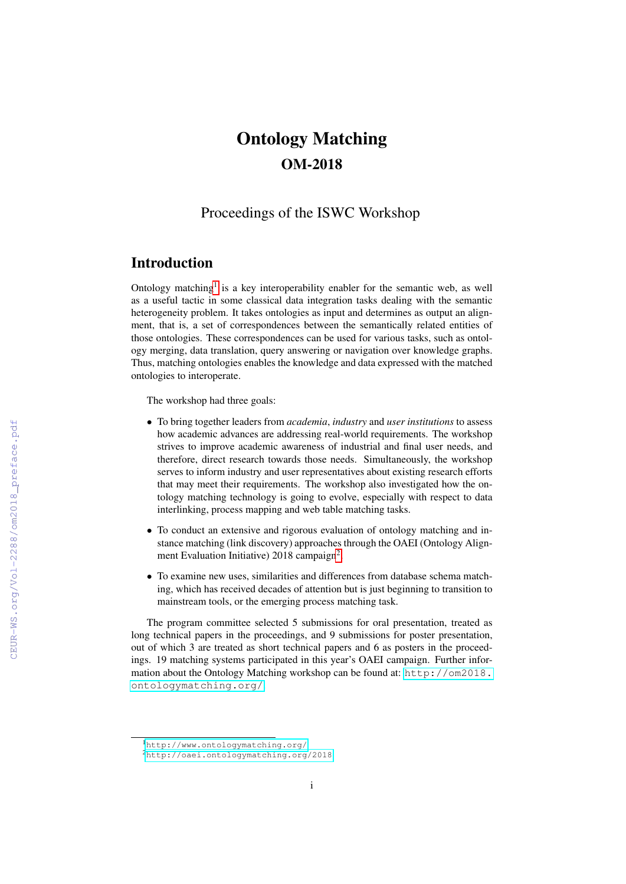# Ontology Matching OM-2018

## Proceedings of the ISWC Workshop

### Introduction

Ontology matching<sup>[1](#page-0-0)</sup> is a key interoperability enabler for the semantic web, as well as a useful tactic in some classical data integration tasks dealing with the semantic heterogeneity problem. It takes ontologies as input and determines as output an alignment, that is, a set of correspondences between the semantically related entities of those ontologies. These correspondences can be used for various tasks, such as ontology merging, data translation, query answering or navigation over knowledge graphs. Thus, matching ontologies enables the knowledge and data expressed with the matched ontologies to interoperate.

The workshop had three goals:

- To bring together leaders from *academia*, *industry* and *user institutions* to assess how academic advances are addressing real-world requirements. The workshop strives to improve academic awareness of industrial and final user needs, and therefore, direct research towards those needs. Simultaneously, the workshop serves to inform industry and user representatives about existing research efforts that may meet their requirements. The workshop also investigated how the ontology matching technology is going to evolve, especially with respect to data interlinking, process mapping and web table matching tasks.
- To conduct an extensive and rigorous evaluation of ontology matching and instance matching (link discovery) approaches through the OAEI (Ontology Align-ment Evaluation Initiative) [2](#page-0-1)018 campaign<sup>2</sup>.
- To examine new uses, similarities and differences from database schema matching, which has received decades of attention but is just beginning to transition to mainstream tools, or the emerging process matching task.

The program committee selected 5 submissions for oral presentation, treated as long technical papers in the proceedings, and 9 submissions for poster presentation, out of which 3 are treated as short technical papers and 6 as posters in the proceedings. 19 matching systems participated in this year's OAEI campaign. Further information about the Ontology Matching workshop can be found at: [http://om2018.](http://om2018.ontologymatching.org/) [ontologymatching.org/](http://om2018.ontologymatching.org/).

<span id="page-0-0"></span><sup>1</sup><http://www.ontologymatching.org/>

<span id="page-0-1"></span><sup>2</sup><http://oaei.ontologymatching.org/2018>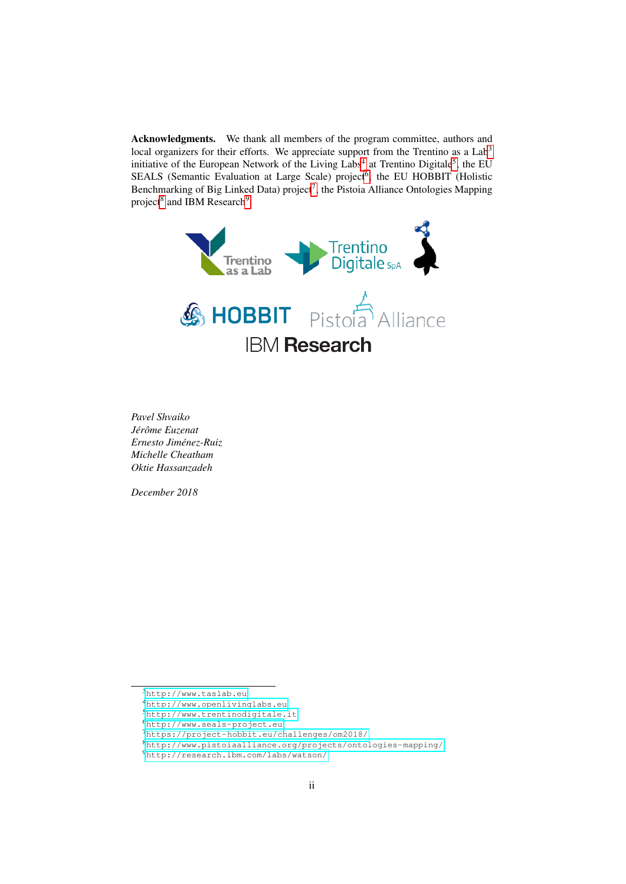Acknowledgments. We thank all members of the program committee, authors and local organizers for their efforts. We appreciate support from the Trentino as a Lab<sup>[3](#page-1-0)</sup> initiative of the European Network of the Living Labs<sup>[4](#page-1-1)</sup> at Trentino Digitale<sup>[5](#page-1-2)</sup>, the EU SEALS (Semantic Evaluation at Large Scale) project<sup>[6](#page-1-3)</sup>, the EU HOBBIT (Holistic Benchmarking of Big Linked Data) project<sup>[7](#page-1-4)</sup>, the Pistoia Alliance Ontologies Mapping project<sup>[8](#page-1-5)</sup> and IBM Research<sup>[9](#page-1-6)</sup>.



*Pavel Shvaiko Jer´ ome Euzenat ˆ Ernesto Jimenez-Ruiz ´ Michelle Cheatham Oktie Hassanzadeh*

*December 2018*

<span id="page-1-2"></span><sup>5</sup><http://www.trentinodigitale.it>

<span id="page-1-4"></span><sup>7</sup><https://project-hobbit.eu/challenges/om2018/>

<span id="page-1-0"></span><sup>3</sup><http://www.taslab.eu>

<span id="page-1-1"></span><sup>4</sup><http://www.openlivinglabs.eu>

<span id="page-1-3"></span><sup>6</sup><http://www.seals-project.eu>

<span id="page-1-5"></span><sup>8</sup><http://www.pistoiaalliance.org/projects/ontologies-mapping/>

<span id="page-1-6"></span><sup>9</sup><http://research.ibm.com/labs/watson/>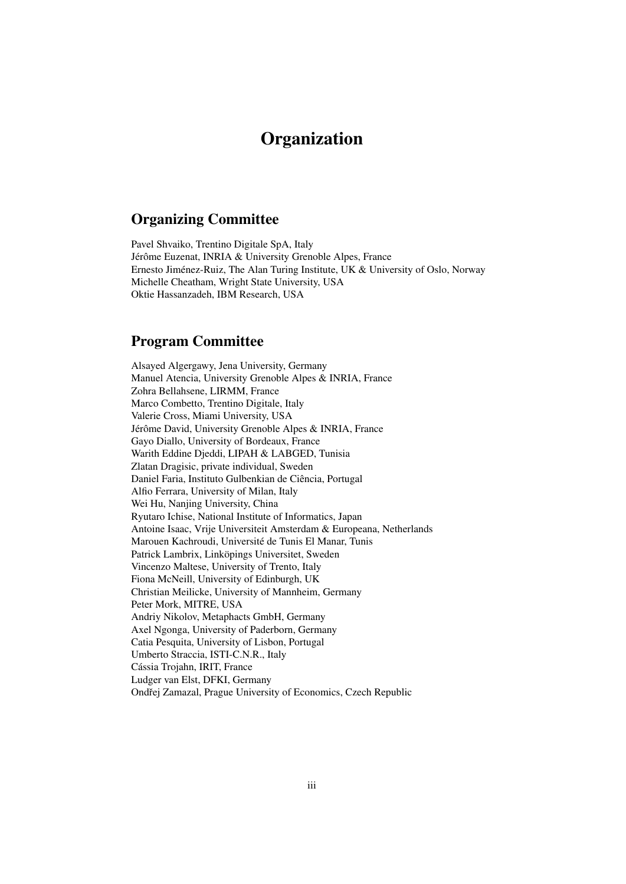## **Organization**

## Organizing Committee

Pavel Shvaiko, Trentino Digitale SpA, Italy Jérôme Euzenat, INRIA & University Grenoble Alpes, France Ernesto Jiménez-Ruiz, The Alan Turing Institute, UK & University of Oslo, Norway Michelle Cheatham, Wright State University, USA Oktie Hassanzadeh, IBM Research, USA

### Program Committee

Alsayed Algergawy, Jena University, Germany Manuel Atencia, University Grenoble Alpes & INRIA, France Zohra Bellahsene, LIRMM, France Marco Combetto, Trentino Digitale, Italy Valerie Cross, Miami University, USA Jérôme David, University Grenoble Alpes & INRIA, France Gayo Diallo, University of Bordeaux, France Warith Eddine Djeddi, LIPAH & LABGED, Tunisia Zlatan Dragisic, private individual, Sweden Daniel Faria, Instituto Gulbenkian de Ciência, Portugal Alfio Ferrara, University of Milan, Italy Wei Hu, Nanjing University, China Ryutaro Ichise, National Institute of Informatics, Japan Antoine Isaac, Vrije Universiteit Amsterdam & Europeana, Netherlands Marouen Kachroudi, Université de Tunis El Manar, Tunis Patrick Lambrix, Linköpings Universitet, Sweden Vincenzo Maltese, University of Trento, Italy Fiona McNeill, University of Edinburgh, UK Christian Meilicke, University of Mannheim, Germany Peter Mork, MITRE, USA Andriy Nikolov, Metaphacts GmbH, Germany Axel Ngonga, University of Paderborn, Germany Catia Pesquita, University of Lisbon, Portugal Umberto Straccia, ISTI-C.N.R., Italy Cássia Trojahn, IRIT, France Ludger van Elst, DFKI, Germany Ondřej Zamazal, Prague University of Economics, Czech Republic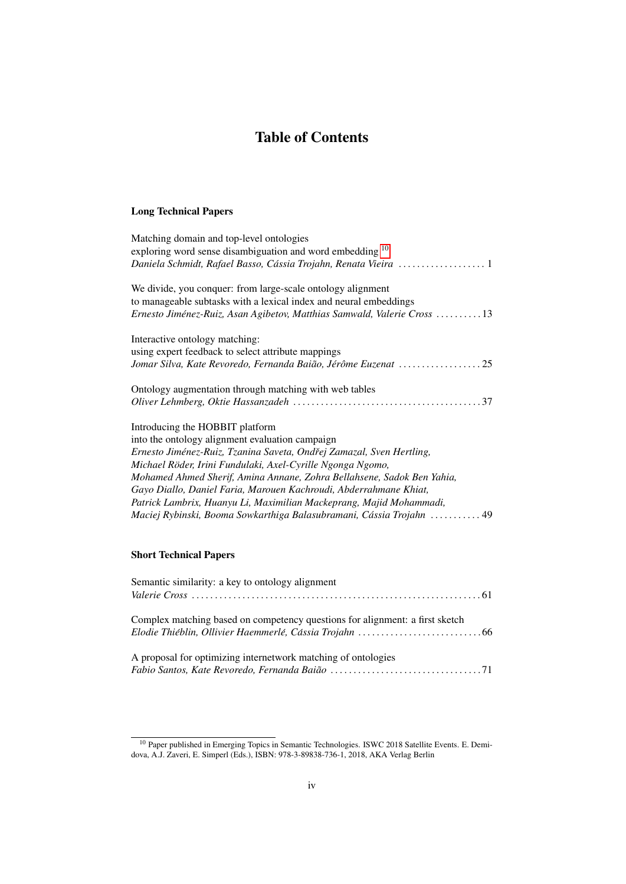## Table of Contents

#### Long Technical Papers

#### Short Technical Papers

| Semantic similarity: a key to ontology alignment                             |  |
|------------------------------------------------------------------------------|--|
|                                                                              |  |
|                                                                              |  |
| Complex matching based on competency questions for alignment: a first sketch |  |
|                                                                              |  |
|                                                                              |  |
| A proposal for optimizing internetwork matching of ontologies                |  |
|                                                                              |  |

<span id="page-3-0"></span><sup>&</sup>lt;sup>10</sup> Paper published in Emerging Topics in Semantic Technologies. ISWC 2018 Satellite Events. E. Demidova, A.J. Zaveri, E. Simperl (Eds.), ISBN: 978-3-89838-736-1, 2018, AKA Verlag Berlin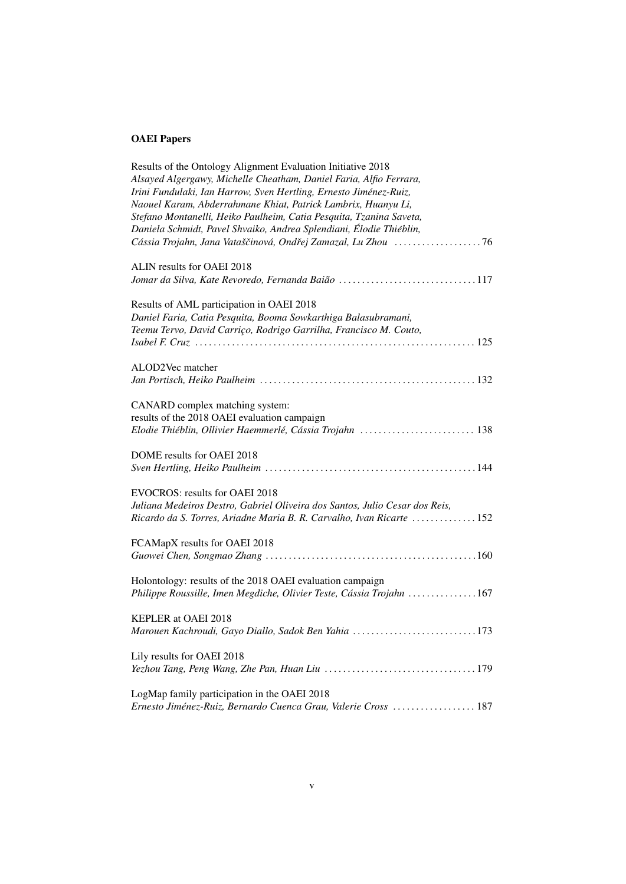## OAEI Papers

| Results of the Ontology Alignment Evaluation Initiative 2018                |  |
|-----------------------------------------------------------------------------|--|
| Alsayed Algergawy, Michelle Cheatham, Daniel Faria, Alfio Ferrara,          |  |
| Irini Fundulaki, Ian Harrow, Sven Hertling, Ernesto Jiménez-Ruiz,           |  |
| Naouel Karam, Abderrahmane Khiat, Patrick Lambrix, Huanyu Li,               |  |
| Stefano Montanelli, Heiko Paulheim, Catia Pesquita, Tzanina Saveta,         |  |
| Daniela Schmidt, Pavel Shvaiko, Andrea Splendiani, Élodie Thiéblin,         |  |
|                                                                             |  |
|                                                                             |  |
| ALIN results for OAEI 2018                                                  |  |
| Jomar da Silva, Kate Revoredo, Fernanda Baião 117                           |  |
|                                                                             |  |
| Results of AML participation in OAEI 2018                                   |  |
| Daniel Faria, Catia Pesquita, Booma Sowkarthiga Balasubramani,              |  |
| Teemu Tervo, David Carriço, Rodrigo Garrilha, Francisco M. Couto,           |  |
|                                                                             |  |
|                                                                             |  |
| ALOD2Vec matcher                                                            |  |
|                                                                             |  |
|                                                                             |  |
| CANARD complex matching system:                                             |  |
|                                                                             |  |
| results of the 2018 OAEI evaluation campaign                                |  |
| Elodie Thiéblin, Ollivier Haemmerlé, Cássia Trojahn  138                    |  |
| DOME results for OAEI 2018                                                  |  |
|                                                                             |  |
|                                                                             |  |
| EVOCROS: results for OAEI 2018                                              |  |
| Juliana Medeiros Destro, Gabriel Oliveira dos Santos, Julio Cesar dos Reis, |  |
| Ricardo da S. Torres, Ariadne Maria B. R. Carvalho, Ivan Ricarte  152       |  |
|                                                                             |  |
| FCAMapX results for OAEI 2018                                               |  |
|                                                                             |  |
|                                                                             |  |
| Holontology: results of the 2018 OAEI evaluation campaign                   |  |
| Philippe Roussille, Imen Megdiche, Olivier Teste, Cássia Trojahn 167        |  |
|                                                                             |  |
| <b>KEPLER at OAEI 2018</b>                                                  |  |
| Marouen Kachroudi, Gayo Diallo, Sadok Ben Yahia 173                         |  |
|                                                                             |  |
| Lily results for OAEI 2018                                                  |  |
|                                                                             |  |
|                                                                             |  |
| LogMap family participation in the OAEI 2018                                |  |
| Ernesto Jiménez-Ruiz, Bernardo Cuenca Grau, Valerie Cross  187              |  |
|                                                                             |  |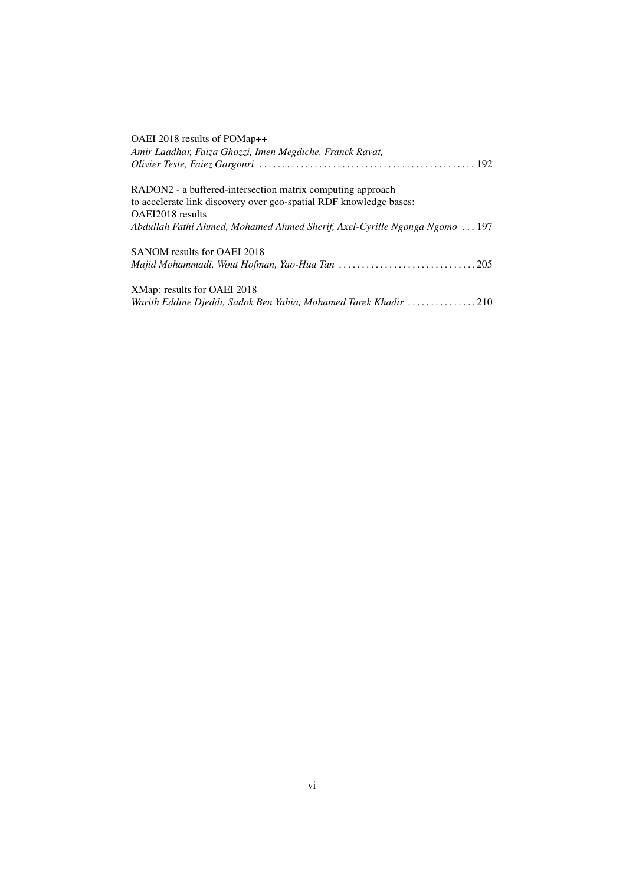| OAEI 2018 results of POMap++                                               |
|----------------------------------------------------------------------------|
| Amir Laadhar, Faiza Ghozzi, Imen Megdiche, Franck Ravat,                   |
|                                                                            |
| RADON2 - a buffered-intersection matrix computing approach                 |
| to accelerate link discovery over geo-spatial RDF knowledge bases:         |
| OAEI2018 results                                                           |
| Abdullah Fathi Ahmed, Mohamed Ahmed Sherif, Axel-Cyrille Ngonga Ngomo  197 |
| SANOM results for OAEI 2018                                                |
|                                                                            |
| XMap: results for OAEI 2018                                                |
| Warith Eddine Djeddi, Sadok Ben Yahia, Mohamed Tarek Khadir 210            |